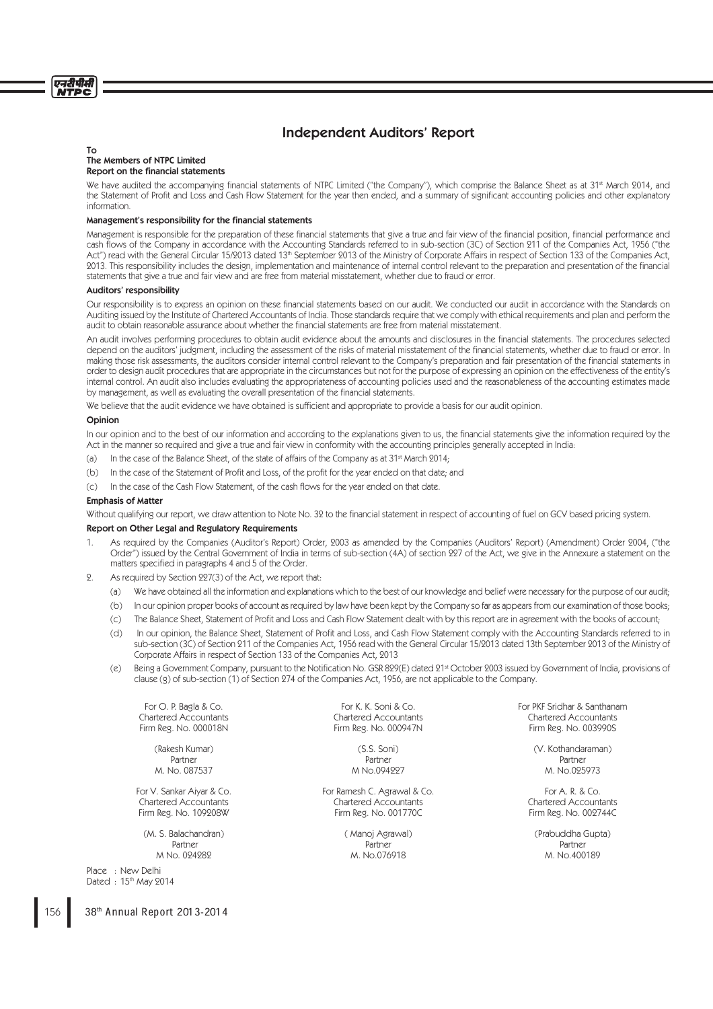# Independent Auditors' Report

### To The Members of NTPC Limited Report on the financial statements

We have audited the accompanying financial statements of NTPC Limited ("the Company"), which comprise the Balance Sheet as at 31<sup>st</sup> March 2014, and the Statement of Profit and Loss and Cash Flow Statement for the year then ended, and a summary of significant accounting policies and other explanatory information.

# Management's responsibility for the financial statements

Management is responsible for the preparation of these financial statements that give a true and fair view of the financial position, financial performance and cash flows of the Company in accordance with the Accounting Standards referred to in sub-section (3C) of Section 211 of the Companies Act, 1956 ("the Act") read with the General Circular 15/2013 dated 13<sup>th</sup> September 2013 of the Ministry of Corporate Affairs in respect of Section 133 of the Companies Act, 2013. This responsibility includes the design, implementation and maintenance of internal control relevant to the preparation and presentation of the financial statements that give a true and fair view and are free from material misstatement, whether due to fraud or error.

# Auditors' responsibility

Our responsibility is to express an opinion on these financial statements based on our audit. We conducted our audit in accordance with the Standards on Auditing issued by the Institute of Chartered Accountants of India. Those standards require that we comply with ethical requirements and plan and perform the audit to obtain reasonable assurance about whether the financial statements are free from material misstatement.

An audit involves performing procedures to obtain audit evidence about the amounts and disclosures in the financial statements. The procedures selected depend on the auditors' judgment, including the assessment of the risks of material misstatement of the financial statements, whether due to fraud or error. In making those risk assessments, the auditors consider internal control relevant to the Company's preparation and fair presentation of the financial statements in order to design audit procedures that are appropriate in the circumstances but not for the purpose of expressing an opinion on the effectiveness of the entity's internal control. An audit also includes evaluating the appropriateness of accounting policies used and the reasonableness of the accounting estimates made by management, as well as evaluating the overall presentation of the financial statements.

We believe that the audit evidence we have obtained is sufficient and appropriate to provide a basis for our audit opinion.

## Opinion

In our opinion and to the best of our information and according to the explanations given to us, the financial statements give the information required by the Act in the manner so required and give a true and fair view in conformity with the accounting principles generally accepted in India:

- (a) In the case of the Balance Sheet, of the state of affairs of the Company as at  $31$ <sup>st</sup> March 2014;
- (b) In the case of the Statement of Profit and Loss, of the profit for the year ended on that date; and
- (c) In the case of the Cash Flow Statement, of the cash flows for the year ended on that date.

### Emphasis of Matter

Without qualifying our report, we draw attention to Note No. 32 to the financial statement in respect of accounting of fuel on GCV based pricing system.

# Report on Other Legal and Regulatory Requirements

- 1. As required by the Companies (Auditor's Report) Order, 2003 as amended by the Companies (Auditors' Report) (Amendment) Order 2004, ("the Order") issued by the Central Government of India in terms of sub-section (4A) of section 227 of the Act, we give in the Annexure a statement on the matters specified in paragraphs 4 and 5 of the Order.
- 2. As required by Section 227(3) of the Act, we report that:
	- (a) We have obtained all the information and explanations which to the best of our knowledge and belief were necessary for the purpose of our audit;
	- (b) In our opinion proper books of account as required by law have been kept by the Company so far as appears from our examination of those books;
	- (c) The Balance Sheet, Statement of Profit and Loss and Cash Flow Statement dealt with by this report are in agreement with the books of account;
	- (d) In our opinion, the Balance Sheet, Statement of Profit and Loss, and Cash Flow Statement comply with the Accounting Standards referred to in sub-section (3C) of Section 211 of the Companies Act, 1956 read with the General Circular 15/2013 dated 13th September 2013 of the Ministry of Corporate Affairs in respect of Section 133 of the Companies Act, 2013
	- (e) Being a Government Company, pursuant to the Notification No. GSR 829(E) dated 21<sup>st</sup> October 2003 issued by Government of India, provisions of clause (g) of sub-section (1) of Section 274 of the Companies Act, 1956, are not applicable to the Company.

(M. S. Balachandran) (Manoj Agrawal) (Manoj Agrawal) (Prabuddha Gupta)<br>Partner Partner Partner Partner Partner Partner

Place : New Delhi Dated : 15<sup>th</sup> May 2014 Firm Reg. No. 000947N

For V. Sankar Aiyar & Co. The State of Ramesh C. Agrawal & Co. For A. R. & Co. For A. R. & Co. Chartered Accountants Chartered Accountants Chartered Accountants Firm Reg. No. 109208W Firm Reg. No. 001770C Firm Reg. No. 002744C

Partner Partner Partner Partner Partner Partner Partner Partner Partner Partner Partner M No. 024282 M. No.076918 M. No.400189

For O. P. Bagla & Co. For K. K. Soni & Co. For PKF Sridhar & Santhanam Chartered Accountants Chartered Accountants Chartered Accountants

(Rakesh Kumar) (S.S. Soni) (V. Kothandaraman) Partner Partner Partner M. No. 087537 M No.094227 M. No.025973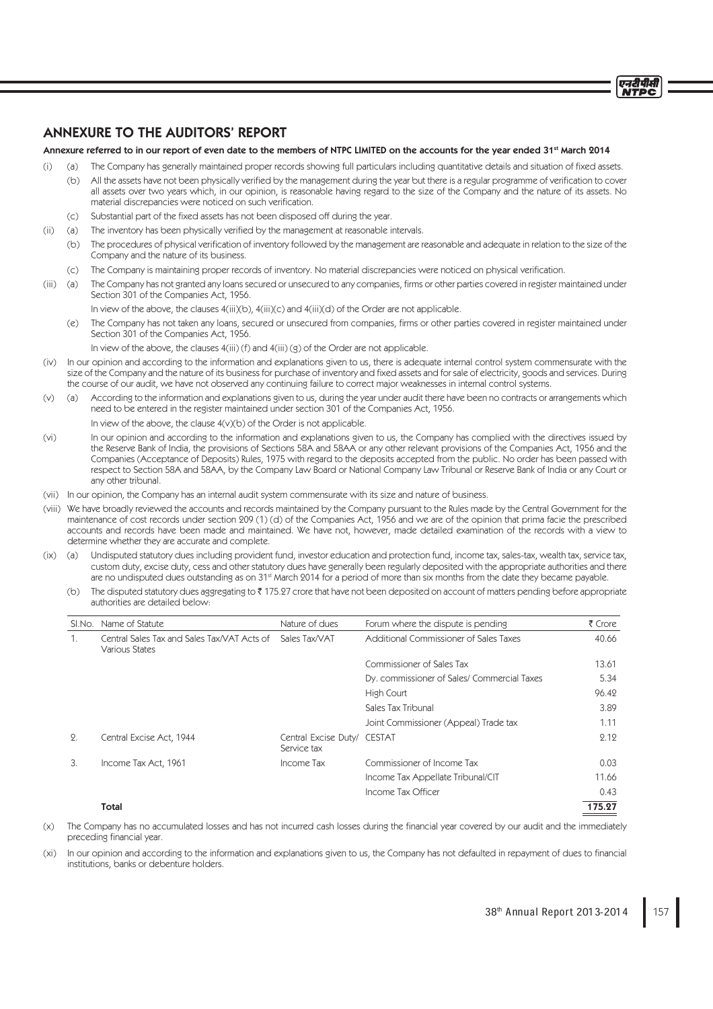# ANNEXURE TO THE AUDITORS' REPORT

# Annexure referred to in our report of even date to the members of NTPC LIMITED on the accounts for the year ended 31st March 2014

- (i) (a) The Company has generally maintained proper records showing full particulars including quantitative details and situation of fixed assets.
	- (b) All the assets have not been physically verified by the management during the year but there is a regular programme of verification to cover all assets over two years which, in our opinion, is reasonable having regard to the size of the Company and the nature of its assets. No material discrepancies were noticed on such verification.
	- (c) Substantial part of the fixed assets has not been disposed off during the year.
- (ii) (a) The inventory has been physically verified by the management at reasonable intervals.
	- (b) The procedures of physical verification of inventory followed by the management are reasonable and adequate in relation to the size of the Company and the nature of its business.
	- (c) The Company is maintaining proper records of inventory. No material discrepancies were noticed on physical verification.
- (iii) (a) The Company has not granted any loans secured or unsecured to any companies, firms or other parties covered in register maintained under Section 301 of the Companies Act, 1956.
	- In view of the above, the clauses 4(iii)(b), 4(iii)(c) and 4(iii)(d) of the Order are not applicable.
	- (e) The Company has not taken any loans, secured or unsecured from companies, firms or other parties covered in register maintained under Section 301 of the Companies Act, 1956.

In view of the above, the clauses 4(iii) (f) and 4(iii) (g) of the Order are not applicable.

- (iv) In our opinion and according to the information and explanations given to us, there is adequate internal control system commensurate with the size of the Company and the nature of its business for purchase of inventory and fixed assets and for sale of electricity, goods and services. During the course of our audit, we have not observed any continuing failure to correct major weaknesses in internal control systems.
- (v) (a) According to the information and explanations given to us, during the year under audit there have been no contracts or arrangements which need to be entered in the register maintained under section 301 of the Companies Act, 1956.

In view of the above, the clause  $4(v)(b)$  of the Order is not applicable.

- (vi) In our opinion and according to the information and explanations given to us, the Company has complied with the directives issued by the Reserve Bank of India, the provisions of Sections 58A and 58AA or any other relevant provisions of the Companies Act, 1956 and the Companies (Acceptance of Deposits) Rules, 1975 with regard to the deposits accepted from the public. No order has been passed with respect to Section 58A and 58AA, by the Company Law Board or National Company Law Tribunal or Reserve Bank of India or any Court or any other tribunal.
- (vii) In our opinion, the Company has an internal audit system commensurate with its size and nature of business.
- (viii) We have broadly reviewed the accounts and records maintained by the Company pursuant to the Rules made by the Central Government for the maintenance of cost records under section 209 (1) (d) of the Companies Act, 1956 and we are of the opinion that prima facie the prescribed accounts and records have been made and maintained. We have not, however, made detailed examination of the records with a view to determine whether they are accurate and complete.
- (ix) (a) Undisputed statutory dues including provident fund, investor education and protection fund, income tax, sales-tax, wealth tax, service tax, custom duty, excise duty, cess and other statutory dues have generally been regularly deposited with the appropriate authorities and there are no undisputed dues outstanding as on 31<sup>st</sup> March 2014 for a period of more than six months from the date they became payable.
	- (b) The disputed statutory dues aggregating to ₹175.27 crore that have not been deposited on account of matters pending before appropriate authorities are detailed below:

| SI.No.         | Name of Statute                                                                    | Nature of dues                             | Forum where the dispute is pending          | ₹ Crore |
|----------------|------------------------------------------------------------------------------------|--------------------------------------------|---------------------------------------------|---------|
| $\mathbf{1}$ . | Central Sales Tax and Sales Tax/VAT Acts of Sales Tax/VAT<br><b>Various States</b> |                                            | Additional Commissioner of Sales Taxes      | 40.66   |
|                |                                                                                    |                                            | Commissioner of Sales Tax                   | 13.61   |
|                |                                                                                    |                                            | Dy. commissioner of Sales/ Commercial Taxes | 5.34    |
|                |                                                                                    |                                            | High Court                                  | 96.42   |
|                |                                                                                    |                                            | Sales Tax Tribunal                          | 3.89    |
|                |                                                                                    |                                            | Joint Commissioner (Appeal) Trade tax       | 1.11    |
| 2.             | Central Excise Act, 1944                                                           | Central Excise Duty/ CESTAT<br>Service tax |                                             | 2.12    |
| 3.             | Income Tax Act, 1961                                                               | Income Tax                                 | Commissioner of Income Tax                  | 0.03    |
|                |                                                                                    |                                            | Income Tax Appellate Tribunal/CIT           | 11.66   |
|                |                                                                                    |                                            | Income Tax Officer                          | 0.43    |
|                | Total                                                                              |                                            |                                             | 175.27  |

- (x) The Company has no accumulated losses and has not incurred cash losses during the financial year covered by our audit and the immediately preceding financial year.
- (xi) In our opinion and according to the information and explanations given to us, the Company has not defaulted in repayment of dues to financial institutions, banks or debenture holders.

एनटीपीसी NTDC